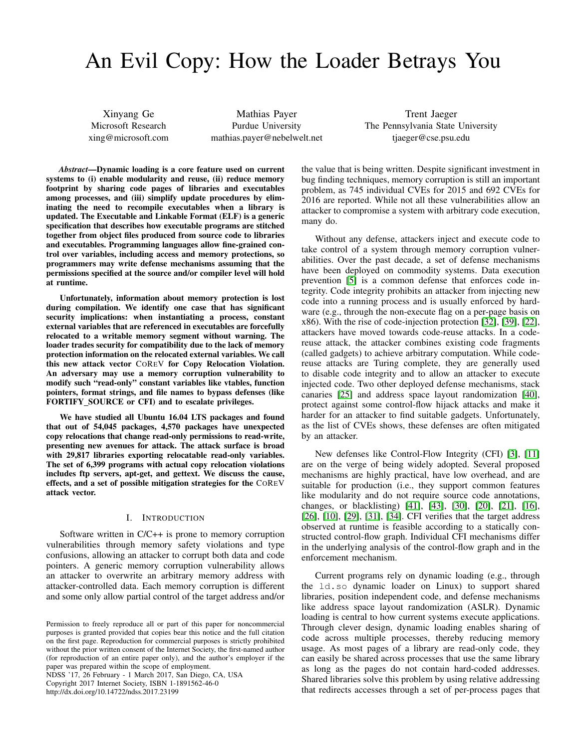# An Evil Copy: How the Loader Betrays You

Xinyang Ge Microsoft Research xing@microsoft.com

Mathias Payer Purdue University mathias.payer@nebelwelt.net

Trent Jaeger The Pennsylvania State University tjaeger@cse.psu.edu

*Abstract*—Dynamic loading is a core feature used on current systems to (i) enable modularity and reuse, (ii) reduce memory footprint by sharing code pages of libraries and executables among processes, and (iii) simplify update procedures by eliminating the need to recompile executables when a library is updated. The Executable and Linkable Format (ELF) is a generic specification that describes how executable programs are stitched together from object files produced from source code to libraries and executables. Programming languages allow fine-grained control over variables, including access and memory protections, so programmers may write defense mechanisms assuming that the permissions specified at the source and/or compiler level will hold at runtime.

Unfortunately, information about memory protection is lost during compilation. We identify one case that has significant security implications: when instantiating a process, constant external variables that are referenced in executables are forcefully relocated to a writable memory segment without warning. The loader trades security for compatibility due to the lack of memory protection information on the relocated external variables. We call this new attack vector COREV for Copy Relocation Violation. An adversary may use a memory corruption vulnerability to modify such "read-only" constant variables like vtables, function pointers, format strings, and file names to bypass defenses (like FORTIFY SOURCE or CFI) and to escalate privileges.

We have studied all Ubuntu 16.04 LTS packages and found that out of 54,045 packages, 4,570 packages have unexpected copy relocations that change read-only permissions to read-write, presenting new avenues for attack. The attack surface is broad with 29,817 libraries exporting relocatable read-only variables. The set of 6,399 programs with actual copy relocation violations includes ftp servers, apt-get, and gettext. We discuss the cause, effects, and a set of possible mitigation strategies for the COREV attack vector.

## I. INTRODUCTION

Software written in C/C++ is prone to memory corruption vulnerabilities through memory safety violations and type confusions, allowing an attacker to corrupt both data and code pointers. A generic memory corruption vulnerability allows an attacker to overwrite an arbitrary memory address with attacker-controlled data. Each memory corruption is different and some only allow partial control of the target address and/or

NDSS '17, 26 February - 1 March 2017, San Diego, CA, USA Copyright 2017 Internet Society, ISBN 1-1891562-46-0 http://dx.doi.org/10.14722/ndss.2017.23199

the value that is being written. Despite significant investment in bug finding techniques, memory corruption is still an important problem, as 745 individual CVEs for 2015 and 692 CVEs for 2016 are reported. While not all these vulnerabilities allow an attacker to compromise a system with arbitrary code execution, many do.

Without any defense, attackers inject and execute code to take control of a system through memory corruption vulnerabilities. Over the past decade, a set of defense mechanisms have been deployed on commodity systems. Data execution prevention [\[5\]](#page-12-0) is a common defense that enforces code integrity. Code integrity prohibits an attacker from injecting new code into a running process and is usually enforced by hardware (e.g., through the non-execute flag on a per-page basis on x86). With the rise of code-injection protection [\[32\]](#page-13-0), [\[39\]](#page-13-1), [\[22\]](#page-13-2), attackers have moved towards code-reuse attacks. In a codereuse attack, the attacker combines existing code fragments (called gadgets) to achieve arbitrary computation. While codereuse attacks are Turing complete, they are generally used to disable code integrity and to allow an attacker to execute injected code. Two other deployed defense mechanisms, stack canaries [\[25\]](#page-13-3) and address space layout randomization [\[40\]](#page-13-4), protect against some control-flow hijack attacks and make it harder for an attacker to find suitable gadgets. Unfortunately, as the list of CVEs shows, these defenses are often mitigated by an attacker.

New defenses like Control-Flow Integrity (CFI) [\[3\]](#page-12-1), [\[11\]](#page-13-5) are on the verge of being widely adopted. Several proposed mechanisms are highly practical, have low overhead, and are suitable for production (i.e., they support common features like modularity and do not require source code annotations, changes, or blacklisting) [\[41\]](#page-13-6), [\[43\]](#page-13-7), [\[30\]](#page-13-8), [\[20\]](#page-13-9), [\[21\]](#page-13-10), [\[16\]](#page-13-11), [\[26\]](#page-13-12), [\[10\]](#page-12-2), [\[29\]](#page-13-13), [\[31\]](#page-13-14), [\[34\]](#page-13-15). CFI verifies that the target address observed at runtime is feasible according to a statically constructed control-flow graph. Individual CFI mechanisms differ in the underlying analysis of the control-flow graph and in the enforcement mechanism.

Current programs rely on dynamic loading (e.g., through the ld.so dynamic loader on Linux) to support shared libraries, position independent code, and defense mechanisms like address space layout randomization (ASLR). Dynamic loading is central to how current systems execute applications. Through clever design, dynamic loading enables sharing of code across multiple processes, thereby reducing memory usage. As most pages of a library are read-only code, they can easily be shared across processes that use the same library as long as the pages do not contain hard-coded addresses. Shared libraries solve this problem by using relative addressing that redirects accesses through a set of per-process pages that

Permission to freely reproduce all or part of this paper for noncommercial purposes is granted provided that copies bear this notice and the full citation on the first page. Reproduction for commercial purposes is strictly prohibited without the prior written consent of the Internet Society, the first-named author (for reproduction of an entire paper only), and the author's employer if the paper was prepared within the scope of employment.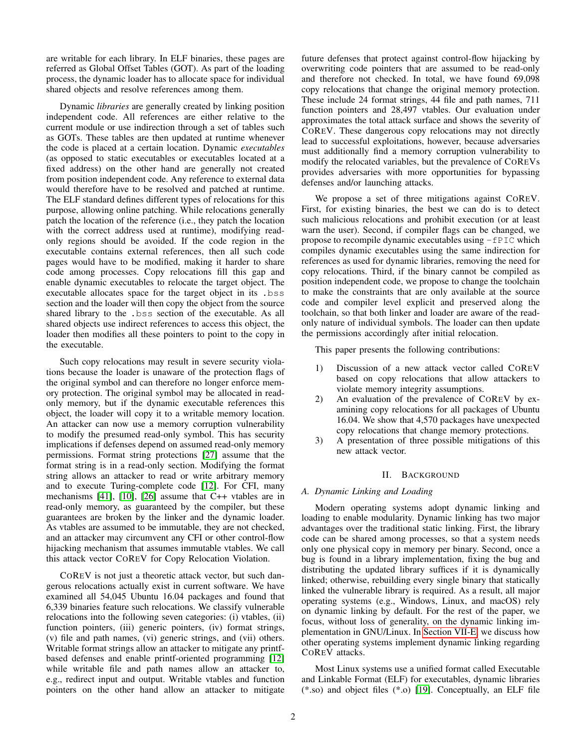are writable for each library. In ELF binaries, these pages are referred as Global Offset Tables (GOT). As part of the loading process, the dynamic loader has to allocate space for individual shared objects and resolve references among them.

Dynamic *libraries* are generally created by linking position independent code. All references are either relative to the current module or use indirection through a set of tables such as GOTs. These tables are then updated at runtime whenever the code is placed at a certain location. Dynamic *executables* (as opposed to static executables or executables located at a fixed address) on the other hand are generally not created from position independent code. Any reference to external data would therefore have to be resolved and patched at runtime. The ELF standard defines different types of relocations for this purpose, allowing online patching. While relocations generally patch the location of the reference (i.e., they patch the location with the correct address used at runtime), modifying readonly regions should be avoided. If the code region in the executable contains external references, then all such code pages would have to be modified, making it harder to share code among processes. Copy relocations fill this gap and enable dynamic executables to relocate the target object. The executable allocates space for the target object in its .bss section and the loader will then copy the object from the source shared library to the .bss section of the executable. As all shared objects use indirect references to access this object, the loader then modifies all these pointers to point to the copy in the executable.

Such copy relocations may result in severe security violations because the loader is unaware of the protection flags of the original symbol and can therefore no longer enforce memory protection. The original symbol may be allocated in readonly memory, but if the dynamic executable references this object, the loader will copy it to a writable memory location. An attacker can now use a memory corruption vulnerability to modify the presumed read-only symbol. This has security implications if defenses depend on assumed read-only memory permissions. Format string protections [\[27\]](#page-13-16) assume that the format string is in a read-only section. Modifying the format string allows an attacker to read or write arbitrary memory and to execute Turing-complete code [\[12\]](#page-13-17). For CFI, many mechanisms [\[41\]](#page-13-6), [\[10\]](#page-12-2), [\[26\]](#page-13-12) assume that C++ vtables are in read-only memory, as guaranteed by the compiler, but these guarantees are broken by the linker and the dynamic loader. As vtables are assumed to be immutable, they are not checked, and an attacker may circumvent any CFI or other control-flow hijacking mechanism that assumes immutable vtables. We call this attack vector COREV for Copy Relocation Violation.

COREV is not just a theoretic attack vector, but such dangerous relocations actually exist in current software. We have examined all 54,045 Ubuntu 16.04 packages and found that 6,339 binaries feature such relocations. We classify vulnerable relocations into the following seven categories: (i) vtables, (ii) function pointers, (iii) generic pointers, (iv) format strings, (v) file and path names, (vi) generic strings, and (vii) others. Writable format strings allow an attacker to mitigate any printfbased defenses and enable printf-oriented programming [\[12\]](#page-13-17) while writable file and path names allow an attacker to, e.g., redirect input and output. Writable vtables and function pointers on the other hand allow an attacker to mitigate future defenses that protect against control-flow hijacking by overwriting code pointers that are assumed to be read-only and therefore not checked. In total, we have found 69,098 copy relocations that change the original memory protection. These include 24 format strings, 44 file and path names, 711 function pointers and 28,497 vtables. Our evaluation under approximates the total attack surface and shows the severity of COREV. These dangerous copy relocations may not directly lead to successful exploitations, however, because adversaries must additionally find a memory corruption vulnerability to modify the relocated variables, but the prevalence of COREVs provides adversaries with more opportunities for bypassing defenses and/or launching attacks.

We propose a set of three mitigations against COREV. First, for existing binaries, the best we can do is to detect such malicious relocations and prohibit execution (or at least warn the user). Second, if compiler flags can be changed, we propose to recompile dynamic executables using -fPIC which compiles dynamic executables using the same indirection for references as used for dynamic libraries, removing the need for copy relocations. Third, if the binary cannot be compiled as position independent code, we propose to change the toolchain to make the constraints that are only available at the source code and compiler level explicit and preserved along the toolchain, so that both linker and loader are aware of the readonly nature of individual symbols. The loader can then update the permissions accordingly after initial relocation.

This paper presents the following contributions:

- 1) Discussion of a new attack vector called COREV based on copy relocations that allow attackers to violate memory integrity assumptions.
- 2) An evaluation of the prevalence of COREV by examining copy relocations for all packages of Ubuntu 16.04. We show that 4,570 packages have unexpected copy relocations that change memory protections.
- 3) A presentation of three possible mitigations of this new attack vector.

# II. BACKGROUND

## <span id="page-1-0"></span>*A. Dynamic Linking and Loading*

Modern operating systems adopt dynamic linking and loading to enable modularity. Dynamic linking has two major advantages over the traditional static linking. First, the library code can be shared among processes, so that a system needs only one physical copy in memory per binary. Second, once a bug is found in a library implementation, fixing the bug and distributing the updated library suffices if it is dynamically linked; otherwise, rebuilding every single binary that statically linked the vulnerable library is required. As a result, all major operating systems (e.g., Windows, Linux, and macOS) rely on dynamic linking by default. For the rest of the paper, we focus, without loss of generality, on the dynamic linking implementation in GNU/Linux. In [Section VII-E,](#page-11-0) we discuss how other operating systems implement dynamic linking regarding COREV attacks.

Most Linux systems use a unified format called Executable and Linkable Format (ELF) for executables, dynamic libraries (\*.so) and object files (\*.o) [\[19\]](#page-13-18). Conceptually, an ELF file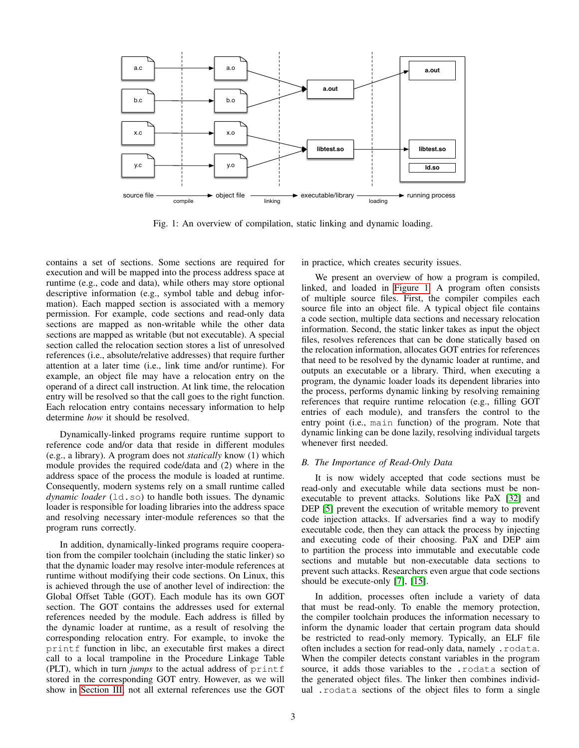<span id="page-2-0"></span>

Fig. 1: An overview of compilation, static linking and dynamic loading.

contains a set of sections. Some sections are required for execution and will be mapped into the process address space at runtime (e.g., code and data), while others may store optional descriptive information (e.g., symbol table and debug information). Each mapped section is associated with a memory permission. For example, code sections and read-only data sections are mapped as non-writable while the other data sections are mapped as writable (but not executable). A special section called the relocation section stores a list of unresolved references (i.e., absolute/relative addresses) that require further attention at a later time (i.e., link time and/or runtime). For example, an object file may have a relocation entry on the operand of a direct call instruction. At link time, the relocation entry will be resolved so that the call goes to the right function. Each relocation entry contains necessary information to help determine *how* it should be resolved.

Dynamically-linked programs require runtime support to reference code and/or data that reside in different modules (e.g., a library). A program does not *statically* know (1) which module provides the required code/data and (2) where in the address space of the process the module is loaded at runtime. Consequently, modern systems rely on a small runtime called *dynamic loader* (1d, so) to handle both issues. The dynamic loader is responsible for loading libraries into the address space and resolving necessary inter-module references so that the program runs correctly.

In addition, dynamically-linked programs require cooperation from the compiler toolchain (including the static linker) so that the dynamic loader may resolve inter-module references at runtime without modifying their code sections. On Linux, this is achieved through the use of another level of indirection: the Global Offset Table (GOT). Each module has its own GOT section. The GOT contains the addresses used for external references needed by the module. Each address is filled by the dynamic loader at runtime, as a result of resolving the corresponding relocation entry. For example, to invoke the printf function in libc, an executable first makes a direct call to a local trampoline in the Procedure Linkage Table (PLT), which in turn *jumps* to the actual address of printf stored in the corresponding GOT entry. However, as we will show in [Section III,](#page-3-0) not all external references use the GOT

in practice, which creates security issues.

We present an overview of how a program is compiled, linked, and loaded in [Figure 1.](#page-2-0) A program often consists of multiple source files. First, the compiler compiles each source file into an object file. A typical object file contains a code section, multiple data sections and necessary relocation information. Second, the static linker takes as input the object files, resolves references that can be done statically based on the relocation information, allocates GOT entries for references that need to be resolved by the dynamic loader at runtime, and outputs an executable or a library. Third, when executing a program, the dynamic loader loads its dependent libraries into the process, performs dynamic linking by resolving remaining references that require runtime relocation (e.g., filling GOT entries of each module), and transfers the control to the entry point (i.e., main function) of the program. Note that dynamic linking can be done lazily, resolving individual targets whenever first needed.

# *B. The Importance of Read-Only Data*

It is now widely accepted that code sections must be read-only and executable while data sections must be nonexecutable to prevent attacks. Solutions like PaX [\[32\]](#page-13-0) and DEP [\[5\]](#page-12-0) prevent the execution of writable memory to prevent code injection attacks. If adversaries find a way to modify executable code, then they can attack the process by injecting and executing code of their choosing. PaX and DEP aim to partition the process into immutable and executable code sections and mutable but non-executable data sections to prevent such attacks. Researchers even argue that code sections should be execute-only [\[7\]](#page-12-3), [\[15\]](#page-13-19).

In addition, processes often include a variety of data that must be read-only. To enable the memory protection, the compiler toolchain produces the information necessary to inform the dynamic loader that certain program data should be restricted to read-only memory. Typically, an ELF file often includes a section for read-only data, namely .rodata. When the compiler detects constant variables in the program source, it adds those variables to the .rodata section of the generated object files. The linker then combines individual .rodata sections of the object files to form a single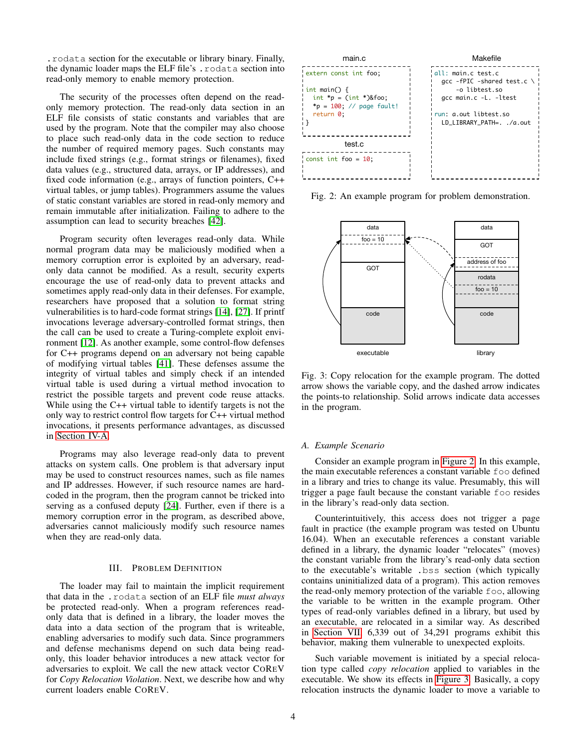.rodata section for the executable or library binary. Finally, the dynamic loader maps the ELF file's .rodata section into read-only memory to enable memory protection.

The security of the processes often depend on the readonly memory protection. The read-only data section in an ELF file consists of static constants and variables that are used by the program. Note that the compiler may also choose to place such read-only data in the code section to reduce the number of required memory pages. Such constants may include fixed strings (e.g., format strings or filenames), fixed data values (e.g., structured data, arrays, or IP addresses), and fixed code information (e.g., arrays of function pointers, C++ virtual tables, or jump tables). Programmers assume the values of static constant variables are stored in read-only memory and remain immutable after initialization. Failing to adhere to the assumption can lead to security breaches [\[42\]](#page-13-20).

Program security often leverages read-only data. While normal program data may be maliciously modified when a memory corruption error is exploited by an adversary, readonly data cannot be modified. As a result, security experts encourage the use of read-only data to prevent attacks and sometimes apply read-only data in their defenses. For example, researchers have proposed that a solution to format string vulnerabilities is to hard-code format strings [\[14\]](#page-13-21), [\[27\]](#page-13-16). If printf invocations leverage adversary-controlled format strings, then the call can be used to create a Turing-complete exploit environment [\[12\]](#page-13-17). As another example, some control-flow defenses for C++ programs depend on an adversary not being capable of modifying virtual tables [\[41\]](#page-13-6). These defenses assume the integrity of virtual tables and simply check if an intended virtual table is used during a virtual method invocation to restrict the possible targets and prevent code reuse attacks. While using the C++ virtual table to identify targets is not the only way to restrict control flow targets for C++ virtual method invocations, it presents performance advantages, as discussed in [Section IV-A.](#page-4-0)

Programs may also leverage read-only data to prevent attacks on system calls. One problem is that adversary input may be used to construct resources names, such as file names and IP addresses. However, if such resource names are hardcoded in the program, then the program cannot be tricked into serving as a confused deputy [\[24\]](#page-13-22). Further, even if there is a memory corruption error in the program, as described above, adversaries cannot maliciously modify such resource names when they are read-only data.

#### III. PROBLEM DEFINITION

<span id="page-3-0"></span>The loader may fail to maintain the implicit requirement that data in the .rodata section of an ELF file *must always* be protected read-only. When a program references readonly data that is defined in a library, the loader moves the data into a data section of the program that is writeable, enabling adversaries to modify such data. Since programmers and defense mechanisms depend on such data being readonly, this loader behavior introduces a new attack vector for adversaries to exploit. We call the new attack vector COREV for *Copy Relocation Violation*. Next, we describe how and why current loaders enable COREV.

<span id="page-3-1"></span>

Fig. 2: An example program for problem demonstration.

<span id="page-3-2"></span>

Fig. 3: Copy relocation for the example program. The dotted arrow shows the variable copy, and the dashed arrow indicates the points-to relationship. Solid arrows indicate data accesses in the program.

### *A. Example Scenario*

Consider an example program in [Figure 2.](#page-3-1) In this example, the main executable references a constant variable foo defined in a library and tries to change its value. Presumably, this will trigger a page fault because the constant variable foo resides in the library's read-only data section.

Counterintuitively, this access does not trigger a page fault in practice (the example program was tested on Ubuntu 16.04). When an executable references a constant variable defined in a library, the dynamic loader "relocates" (moves) the constant variable from the library's read-only data section to the executable's writable .bss section (which typically contains uninitialized data of a program). This action removes the read-only memory protection of the variable foo, allowing the variable to be written in the example program. Other types of read-only variables defined in a library, but used by an executable, are relocated in a similar way. As described in [Section VII,](#page-8-0) 6,339 out of 34,291 programs exhibit this behavior, making them vulnerable to unexpected exploits.

Such variable movement is initiated by a special relocation type called *copy relocation* applied to variables in the executable. We show its effects in [Figure 3.](#page-3-2) Basically, a copy relocation instructs the dynamic loader to move a variable to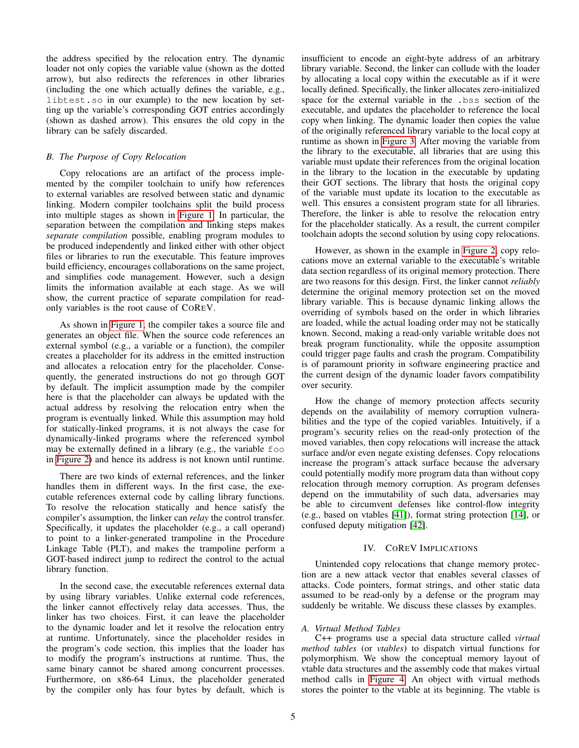the address specified by the relocation entry. The dynamic loader not only copies the variable value (shown as the dotted arrow), but also redirects the references in other libraries (including the one which actually defines the variable, e.g., libtest.so in our example) to the new location by setting up the variable's corresponding GOT entries accordingly (shown as dashed arrow). This ensures the old copy in the library can be safely discarded.

# *B. The Purpose of Copy Relocation*

Copy relocations are an artifact of the process implemented by the compiler toolchain to unify how references to external variables are resolved between static and dynamic linking. Modern compiler toolchains split the build process into multiple stages as shown in [Figure 1.](#page-2-0) In particular, the separation between the compilation and linking steps makes *separate compilation* possible, enabling program modules to be produced independently and linked either with other object files or libraries to run the executable. This feature improves build efficiency, encourages collaborations on the same project, and simplifies code management. However, such a design limits the information available at each stage. As we will show, the current practice of separate compilation for readonly variables is the root cause of COREV.

As shown in [Figure 1,](#page-2-0) the compiler takes a source file and generates an object file. When the source code references an external symbol (e.g., a variable or a function), the compiler creates a placeholder for its address in the emitted instruction and allocates a relocation entry for the placeholder. Consequently, the generated instructions do not go through GOT by default. The implicit assumption made by the compiler here is that the placeholder can always be updated with the actual address by resolving the relocation entry when the program is eventually linked. While this assumption may hold for statically-linked programs, it is not always the case for dynamically-linked programs where the referenced symbol may be externally defined in a library (e.g., the variable foo in [Figure 2\)](#page-3-1) and hence its address is not known until runtime.

There are two kinds of external references, and the linker handles them in different ways. In the first case, the executable references external code by calling library functions. To resolve the relocation statically and hence satisfy the compiler's assumption, the linker can *relay* the control transfer. Specifically, it updates the placeholder (e.g., a call operand) to point to a linker-generated trampoline in the Procedure Linkage Table (PLT), and makes the trampoline perform a GOT-based indirect jump to redirect the control to the actual library function.

In the second case, the executable references external data by using library variables. Unlike external code references, the linker cannot effectively relay data accesses. Thus, the linker has two choices. First, it can leave the placeholder to the dynamic loader and let it resolve the relocation entry at runtime. Unfortunately, since the placeholder resides in the program's code section, this implies that the loader has to modify the program's instructions at runtime. Thus, the same binary cannot be shared among concurrent processes. Furthermore, on x86-64 Linux, the placeholder generated by the compiler only has four bytes by default, which is insufficient to encode an eight-byte address of an arbitrary library variable. Second, the linker can collude with the loader by allocating a local copy within the executable as if it were locally defined. Specifically, the linker allocates zero-initialized space for the external variable in the .bss section of the executable, and updates the placeholder to reference the local copy when linking. The dynamic loader then copies the value of the originally referenced library variable to the local copy at runtime as shown in [Figure 3.](#page-3-2) After moving the variable from the library to the executable, all libraries that are using this variable must update their references from the original location in the library to the location in the executable by updating their GOT sections. The library that hosts the original copy of the variable must update its location to the executable as well. This ensures a consistent program state for all libraries. Therefore, the linker is able to resolve the relocation entry for the placeholder statically. As a result, the current compiler toolchain adopts the second solution by using copy relocations.

However, as shown in the example in [Figure 2,](#page-3-1) copy relocations move an external variable to the executable's writable data section regardless of its original memory protection. There are two reasons for this design. First, the linker cannot *reliably* determine the original memory protection set on the moved library variable. This is because dynamic linking allows the overriding of symbols based on the order in which libraries are loaded, while the actual loading order may not be statically known. Second, making a read-only variable writable does not break program functionality, while the opposite assumption could trigger page faults and crash the program. Compatibility is of paramount priority in software engineering practice and the current design of the dynamic loader favors compatibility over security.

How the change of memory protection affects security depends on the availability of memory corruption vulnerabilities and the type of the copied variables. Intuitively, if a program's security relies on the read-only protection of the moved variables, then copy relocations will increase the attack surface and/or even negate existing defenses. Copy relocations increase the program's attack surface because the adversary could potentially modify more program data than without copy relocation through memory corruption. As program defenses depend on the immutability of such data, adversaries may be able to circumvent defenses like control-flow integrity (e.g., based on vtables [\[41\]](#page-13-6)), format string protection [\[14\]](#page-13-21), or confused deputy mitigation [\[42\]](#page-13-20).

# IV. COREV IMPLICATIONS

Unintended copy relocations that change memory protection are a new attack vector that enables several classes of attacks. Code pointers, format strings, and other static data assumed to be read-only by a defense or the program may suddenly be writable. We discuss these classes by examples.

# <span id="page-4-0"></span>*A. Virtual Method Tables*

C++ programs use a special data structure called *virtual method tables* (or *vtables*) to dispatch virtual functions for polymorphism. We show the conceptual memory layout of vtable data structures and the assembly code that makes virtual method calls in [Figure 4.](#page-5-0) An object with virtual methods stores the pointer to the vtable at its beginning. The vtable is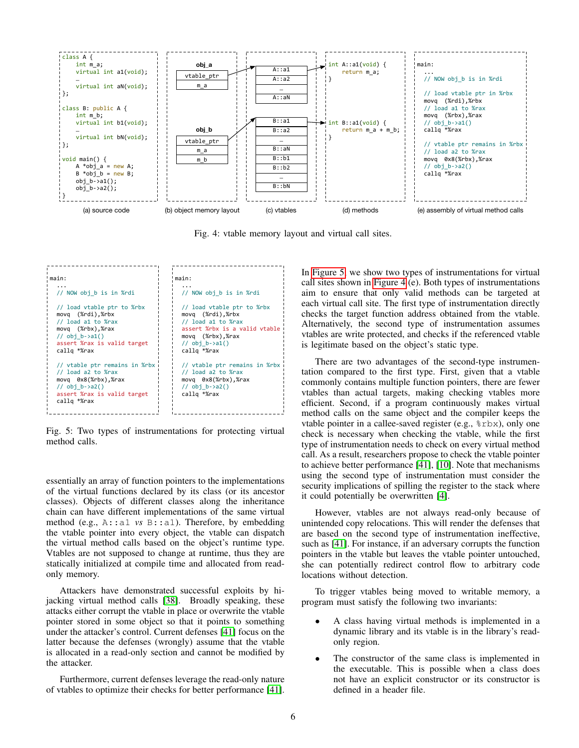<span id="page-5-0"></span>

Fig. 4: vtable memory layout and virtual call sites.

<span id="page-5-1"></span>

Fig. 5: Two types of instrumentations for protecting virtual method calls.

essentially an array of function pointers to the implementations of the virtual functions declared by its class (or its ancestor classes). Objects of different classes along the inheritance chain can have different implementations of the same virtual method (e.g., A::a1 *vs* B::a1). Therefore, by embedding the vtable pointer into every object, the vtable can dispatch the virtual method calls based on the object's runtime type. Vtables are not supposed to change at runtime, thus they are statically initialized at compile time and allocated from readonly memory.

Attackers have demonstrated successful exploits by hijacking virtual method calls [\[38\]](#page-13-23). Broadly speaking, these attacks either corrupt the vtable in place or overwrite the vtable pointer stored in some object so that it points to something under the attacker's control. Current defenses [\[41\]](#page-13-6) focus on the latter because the defenses (wrongly) assume that the vtable is allocated in a read-only section and cannot be modified by the attacker.

Furthermore, current defenses leverage the read-only nature of vtables to optimize their checks for better performance [\[41\]](#page-13-6).

In [Figure 5,](#page-5-1) we show two types of instrumentations for virtual call sites shown in [Figure 4](#page-5-0) (e). Both types of instrumentations aim to ensure that only valid methods can be targeted at each virtual call site. The first type of instrumentation directly checks the target function address obtained from the vtable. Alternatively, the second type of instrumentation assumes vtables are write protected, and checks if the referenced vtable is legitimate based on the object's static type.

There are two advantages of the second-type instrumentation compared to the first type. First, given that a vtable commonly contains multiple function pointers, there are fewer vtables than actual targets, making checking vtables more efficient. Second, if a program continuously makes virtual method calls on the same object and the compiler keeps the vtable pointer in a callee-saved register (e.g., %rbx), only one check is necessary when checking the vtable, while the first type of instrumentation needs to check on every virtual method call. As a result, researchers propose to check the vtable pointer to achieve better performance [\[41\]](#page-13-6), [\[10\]](#page-12-2). Note that mechanisms using the second type of instrumentation must consider the security implications of spilling the register to the stack where it could potentially be overwritten [\[4\]](#page-12-4).

However, vtables are not always read-only because of unintended copy relocations. This will render the defenses that are based on the second type of instrumentation ineffective, such as [\[41\]](#page-13-6). For instance, if an adversary corrupts the function pointers in the vtable but leaves the vtable pointer untouched, she can potentially redirect control flow to arbitrary code locations without detection.

To trigger vtables being moved to writable memory, a program must satisfy the following two invariants:

- A class having virtual methods is implemented in a dynamic library and its vtable is in the library's readonly region.
- The constructor of the same class is implemented in the executable. This is possible when a class does not have an explicit constructor or its constructor is defined in a header file.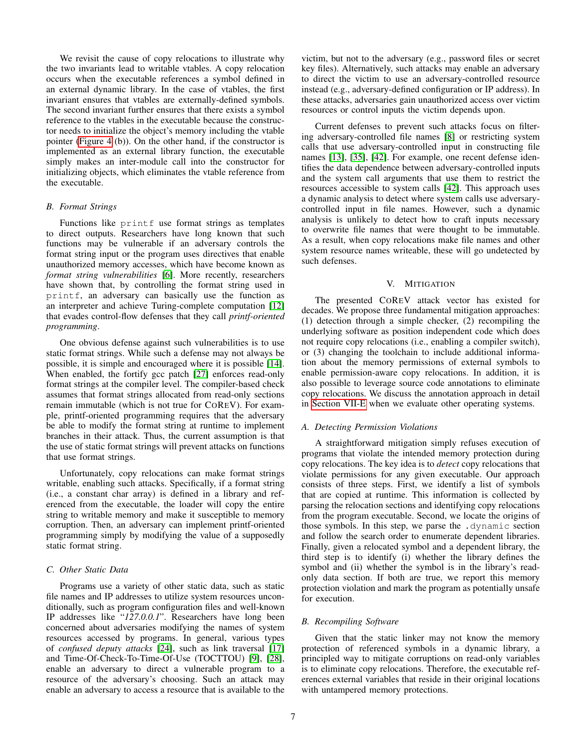We revisit the cause of copy relocations to illustrate why the two invariants lead to writable vtables. A copy relocation occurs when the executable references a symbol defined in an external dynamic library. In the case of vtables, the first invariant ensures that vtables are externally-defined symbols. The second invariant further ensures that there exists a symbol reference to the vtables in the executable because the constructor needs to initialize the object's memory including the vtable pointer [\(Figure 4](#page-5-0) (b)). On the other hand, if the constructor is implemented as an external library function, the executable simply makes an inter-module call into the constructor for initializing objects, which eliminates the vtable reference from the executable.

# *B. Format Strings*

Functions like printf use format strings as templates to direct outputs. Researchers have long known that such functions may be vulnerable if an adversary controls the format string input or the program uses directives that enable unauthorized memory accesses, which have become known as *format string vulnerabilities* [\[6\]](#page-12-5). More recently, researchers have shown that, by controlling the format string used in printf, an adversary can basically use the function as an interpreter and achieve Turing-complete computation [\[12\]](#page-13-17) that evades control-flow defenses that they call *printf-oriented programming*.

One obvious defense against such vulnerabilities is to use static format strings. While such a defense may not always be possible, it is simple and encouraged where it is possible [\[14\]](#page-13-21). When enabled, the fortify gcc patch [\[27\]](#page-13-16) enforces read-only format strings at the compiler level. The compiler-based check assumes that format strings allocated from read-only sections remain immutable (which is not true for COREV). For example, printf-oriented programming requires that the adversary be able to modify the format string at runtime to implement branches in their attack. Thus, the current assumption is that the use of static format strings will prevent attacks on functions that use format strings.

Unfortunately, copy relocations can make format strings writable, enabling such attacks. Specifically, if a format string (i.e., a constant char array) is defined in a library and referenced from the executable, the loader will copy the entire string to writable memory and make it susceptible to memory corruption. Then, an adversary can implement printf-oriented programming simply by modifying the value of a supposedly static format string.

## *C. Other Static Data*

Programs use a variety of other static data, such as static file names and IP addresses to utilize system resources unconditionally, such as program configuration files and well-known IP addresses like "*127.0.0.1*". Researchers have long been concerned about adversaries modifying the names of system resources accessed by programs. In general, various types of *confused deputy attacks* [\[24\]](#page-13-22), such as link traversal [\[17\]](#page-13-24) and Time-Of-Check-To-Time-Of-Use (TOCTTOU) [\[9\]](#page-12-6), [\[28\]](#page-13-25), enable an adversary to direct a vulnerable program to a resource of the adversary's choosing. Such an attack may enable an adversary to access a resource that is available to the victim, but not to the adversary (e.g., password files or secret key files). Alternatively, such attacks may enable an adversary to direct the victim to use an adversary-controlled resource instead (e.g., adversary-defined configuration or IP address). In these attacks, adversaries gain unauthorized access over victim resources or control inputs the victim depends upon.

Current defenses to prevent such attacks focus on filtering adversary-controlled file names [\[8\]](#page-12-7) or restricting system calls that use adversary-controlled input in constructing file names [\[13\]](#page-13-26), [\[35\]](#page-13-27), [\[42\]](#page-13-20). For example, one recent defense identifies the data dependence between adversary-controlled inputs and the system call arguments that use them to restrict the resources accessible to system calls [\[42\]](#page-13-20). This approach uses a dynamic analysis to detect where system calls use adversarycontrolled input in file names. However, such a dynamic analysis is unlikely to detect how to craft inputs necessary to overwrite file names that were thought to be immutable. As a result, when copy relocations make file names and other system resource names writeable, these will go undetected by such defenses.

### V. MITIGATION

The presented COREV attack vector has existed for decades. We propose three fundamental mitigation approaches: (1) detection through a simple checker, (2) recompiling the underlying software as position independent code which does not require copy relocations (i.e., enabling a compiler switch), or (3) changing the toolchain to include additional information about the memory permissions of external symbols to enable permission-aware copy relocations. In addition, it is also possible to leverage source code annotations to eliminate copy relocations. We discuss the annotation approach in detail in [Section VII-E](#page-11-0) when we evaluate other operating systems.

# *A. Detecting Permission Violations*

A straightforward mitigation simply refuses execution of programs that violate the intended memory protection during copy relocations. The key idea is to *detect* copy relocations that violate permissions for any given executable. Our approach consists of three steps. First, we identify a list of symbols that are copied at runtime. This information is collected by parsing the relocation sections and identifying copy relocations from the program executable. Second, we locate the origins of those symbols. In this step, we parse the .dynamic section and follow the search order to enumerate dependent libraries. Finally, given a relocated symbol and a dependent library, the third step is to identify (i) whether the library defines the symbol and (ii) whether the symbol is in the library's readonly data section. If both are true, we report this memory protection violation and mark the program as potentially unsafe for execution.

## <span id="page-6-0"></span>*B. Recompiling Software*

Given that the static linker may not know the memory protection of referenced symbols in a dynamic library, a principled way to mitigate corruptions on read-only variables is to eliminate copy relocations. Therefore, the executable references external variables that reside in their original locations with untampered memory protections.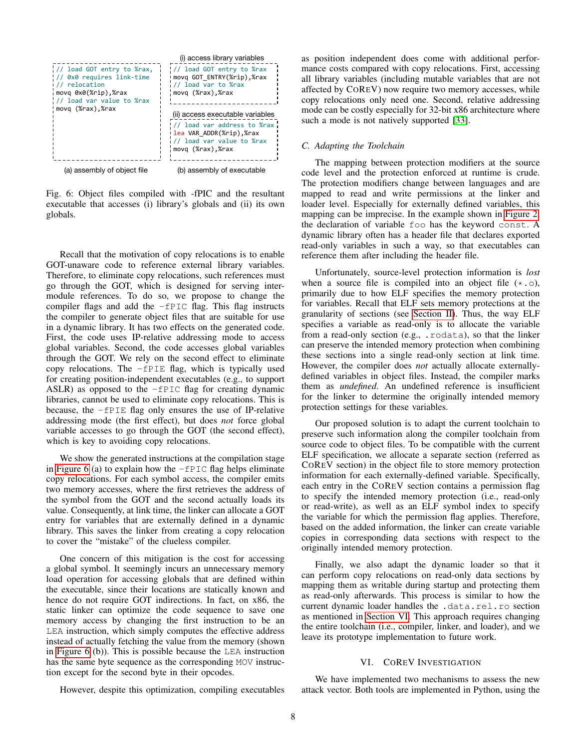<span id="page-7-0"></span>

Fig. 6: Object files compiled with -fPIC and the resultant executable that accesses (i) library's globals and (ii) its own globals.

Recall that the motivation of copy relocations is to enable GOT-unaware code to reference external library variables. Therefore, to eliminate copy relocations, such references must go through the GOT, which is designed for serving intermodule references. To do so, we propose to change the compiler flags and add the  $-FPIC$  flag. This flag instructs the compiler to generate object files that are suitable for use in a dynamic library. It has two effects on the generated code. First, the code uses IP-relative addressing mode to access global variables. Second, the code accesses global variables through the GOT. We rely on the second effect to eliminate copy relocations. The  $-FPIE$  flag, which is typically used for creating position-independent executables (e.g., to support ASLR) as opposed to the -fPIC flag for creating dynamic libraries, cannot be used to eliminate copy relocations. This is because, the -fPIE flag only ensures the use of IP-relative addressing mode (the first effect), but does *not* force global variable accesses to go through the GOT (the second effect), which is key to avoiding copy relocations.

We show the generated instructions at the compilation stage in [Figure 6](#page-7-0) (a) to explain how the  $-FPIC$  flag helps eliminate copy relocations. For each symbol access, the compiler emits two memory accesses, where the first retrieves the address of the symbol from the GOT and the second actually loads its value. Consequently, at link time, the linker can allocate a GOT entry for variables that are externally defined in a dynamic library. This saves the linker from creating a copy relocation to cover the "mistake" of the clueless compiler.

One concern of this mitigation is the cost for accessing a global symbol. It seemingly incurs an unnecessary memory load operation for accessing globals that are defined within the executable, since their locations are statically known and hence do not require GOT indirections. In fact, on x86, the static linker can optimize the code sequence to save one memory access by changing the first instruction to be an LEA instruction, which simply computes the effective address instead of actually fetching the value from the memory (shown in [Figure 6](#page-7-0) (b)). This is possible because the LEA instruction has the same byte sequence as the corresponding MOV instruction except for the second byte in their opcodes.

as position independent does come with additional performance costs compared with copy relocations. First, accessing all library variables (including mutable variables that are not affected by COREV) now require two memory accesses, while copy relocations only need one. Second, relative addressing mode can be costly especially for 32-bit x86 architecture where such a mode is not natively supported [\[33\]](#page-13-28).

# *C. Adapting the Toolchain*

The mapping between protection modifiers at the source code level and the protection enforced at runtime is crude. The protection modifiers change between languages and are mapped to read and write permissions at the linker and loader level. Especially for externally defined variables, this mapping can be imprecise. In the example shown in [Figure 2,](#page-3-1) the declaration of variable foo has the keyword const. A dynamic library often has a header file that declares exported read-only variables in such a way, so that executables can reference them after including the header file.

Unfortunately, source-level protection information is *lost* when a source file is compiled into an object file  $(*. \circ)$ , primarily due to how ELF specifies the memory protection for variables. Recall that ELF sets memory protections at the granularity of sections (see [Section II\)](#page-1-0). Thus, the way ELF specifies a variable as read-only is to allocate the variable from a read-only section (e.g., .rodata), so that the linker can preserve the intended memory protection when combining these sections into a single read-only section at link time. However, the compiler does *not* actually allocate externallydefined variables in object files. Instead, the compiler marks them as *undefined*. An undefined reference is insufficient for the linker to determine the originally intended memory protection settings for these variables.

Our proposed solution is to adapt the current toolchain to preserve such information along the compiler toolchain from source code to object files. To be compatible with the current ELF specification, we allocate a separate section (referred as COREV section) in the object file to store memory protection information for each externally-defined variable. Specifically, each entry in the COREV section contains a permission flag to specify the intended memory protection (i.e., read-only or read-write), as well as an ELF symbol index to specify the variable for which the permission flag applies. Therefore, based on the added information, the linker can create variable copies in corresponding data sections with respect to the originally intended memory protection.

Finally, we also adapt the dynamic loader so that it can perform copy relocations on read-only data sections by mapping them as writable during startup and protecting them as read-only afterwards. This process is similar to how the current dynamic loader handles the .data.rel.ro section as mentioned in [Section VI.](#page-7-1) This approach requires changing the entire toolchain (i.e., compiler, linker, and loader), and we leave its prototype implementation to future work.

# VI. COREV INVESTIGATION

<span id="page-7-1"></span>We have implemented two mechanisms to assess the new attack vector. Both tools are implemented in Python, using the

However, despite this optimization, compiling executables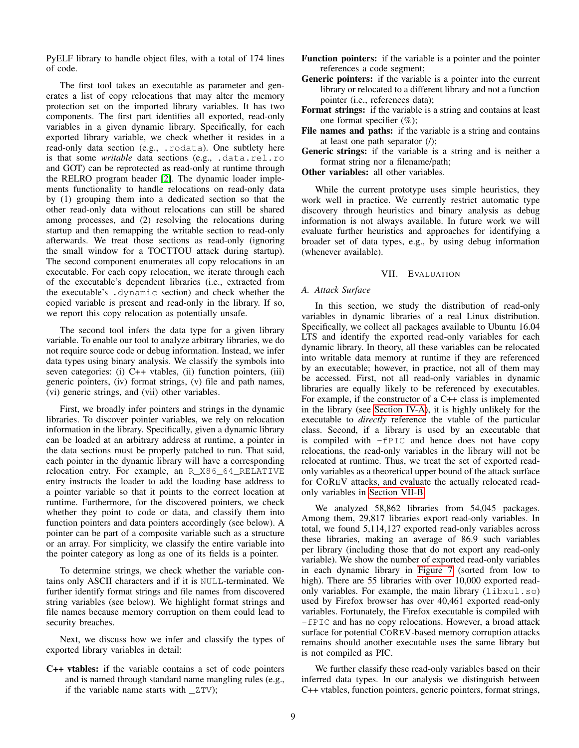PyELF library to handle object files, with a total of 174 lines of code.

The first tool takes an executable as parameter and generates a list of copy relocations that may alter the memory protection set on the imported library variables. It has two components. The first part identifies all exported, read-only variables in a given dynamic library. Specifically, for each exported library variable, we check whether it resides in a read-only data section (e.g., .rodata). One subtlety here is that some *writable* data sections (e.g., .data.rel.ro and GOT) can be reprotected as read-only at runtime through the RELRO program header [\[2\]](#page-12-8). The dynamic loader implements functionality to handle relocations on read-only data by (1) grouping them into a dedicated section so that the other read-only data without relocations can still be shared among processes, and (2) resolving the relocations during startup and then remapping the writable section to read-only afterwards. We treat those sections as read-only (ignoring the small window for a TOCTTOU attack during startup). The second component enumerates all copy relocations in an executable. For each copy relocation, we iterate through each of the executable's dependent libraries (i.e., extracted from the executable's .dynamic section) and check whether the copied variable is present and read-only in the library. If so, we report this copy relocation as potentially unsafe.

The second tool infers the data type for a given library variable. To enable our tool to analyze arbitrary libraries, we do not require source code or debug information. Instead, we infer data types using binary analysis. We classify the symbols into seven categories: (i) C++ vtables, (ii) function pointers, (iii) generic pointers, (iv) format strings, (v) file and path names, (vi) generic strings, and (vii) other variables.

First, we broadly infer pointers and strings in the dynamic libraries. To discover pointer variables, we rely on relocation information in the library. Specifically, given a dynamic library can be loaded at an arbitrary address at runtime, a pointer in the data sections must be properly patched to run. That said, each pointer in the dynamic library will have a corresponding relocation entry. For example, an R\_X86\_64\_RELATIVE entry instructs the loader to add the loading base address to a pointer variable so that it points to the correct location at runtime. Furthermore, for the discovered pointers, we check whether they point to code or data, and classify them into function pointers and data pointers accordingly (see below). A pointer can be part of a composite variable such as a structure or an array. For simplicity, we classify the entire variable into the pointer category as long as one of its fields is a pointer.

To determine strings, we check whether the variable contains only ASCII characters and if it is NULL-terminated. We further identify format strings and file names from discovered string variables (see below). We highlight format strings and file names because memory corruption on them could lead to security breaches.

Next, we discuss how we infer and classify the types of exported library variables in detail:

C++ vtables: if the variable contains a set of code pointers and is named through standard name mangling rules (e.g., if the variable name starts with \_ZTV);

- Function pointers: if the variable is a pointer and the pointer references a code segment;
- Generic pointers: if the variable is a pointer into the current library or relocated to a different library and not a function pointer (i.e., references data);
- Format strings: if the variable is a string and contains at least one format specifier (%);
- File names and paths: if the variable is a string and contains at least one path separator  $($ );

Generic strings: if the variable is a string and is neither a format string nor a filename/path;

Other variables: all other variables.

While the current prototype uses simple heuristics, they work well in practice. We currently restrict automatic type discovery through heuristics and binary analysis as debug information is not always available. In future work we will evaluate further heuristics and approaches for identifying a broader set of data types, e.g., by using debug information (whenever available).

## VII. EVALUATION

# <span id="page-8-0"></span>*A. Attack Surface*

In this section, we study the distribution of read-only variables in dynamic libraries of a real Linux distribution. Specifically, we collect all packages available to Ubuntu 16.04 LTS and identify the exported read-only variables for each dynamic library. In theory, all these variables can be relocated into writable data memory at runtime if they are referenced by an executable; however, in practice, not all of them may be accessed. First, not all read-only variables in dynamic libraries are equally likely to be referenced by executables. For example, if the constructor of a C++ class is implemented in the library (see [Section IV-A\)](#page-4-0), it is highly unlikely for the executable to *directly* reference the vtable of the particular class. Second, if a library is used by an executable that is compiled with -fPIC and hence does not have copy relocations, the read-only variables in the library will not be relocated at runtime. Thus, we treat the set of exported readonly variables as a theoretical upper bound of the attack surface for COREV attacks, and evaluate the actually relocated readonly variables in [Section VII-B.](#page-9-0)

We analyzed 58,862 libraries from 54,045 packages. Among them, 29,817 libraries export read-only variables. In total, we found 5,114,127 exported read-only variables across these libraries, making an average of 86.9 such variables per library (including those that do not export any read-only variable). We show the number of exported read-only variables in each dynamic library in [Figure 7](#page-9-1) (sorted from low to high). There are 55 libraries with over 10,000 exported readonly variables. For example, the main library (libxul.so) used by Firefox browser has over 40,461 exported read-only variables. Fortunately, the Firefox executable is compiled with -fPIC and has no copy relocations. However, a broad attack surface for potential COREV-based memory corruption attacks remains should another executable uses the same library but is not compiled as PIC.

We further classify these read-only variables based on their inferred data types. In our analysis we distinguish between C++ vtables, function pointers, generic pointers, format strings,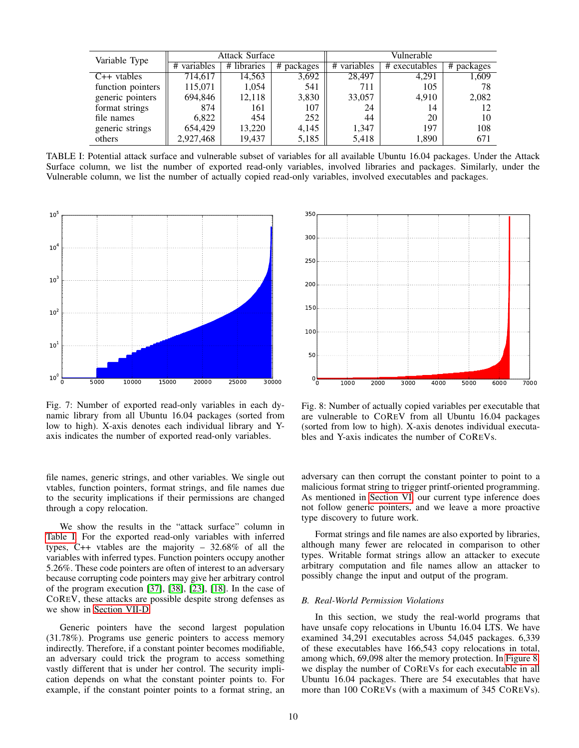<span id="page-9-2"></span>

| Variable Type     | <b>Attack Surface</b> |                |            | Vulnerable  |               |               |
|-------------------|-----------------------|----------------|------------|-------------|---------------|---------------|
|                   | variables<br>#        | libraries<br># | # packages | # variables | # executables | #<br>packages |
| $C++$ vtables     | 714,617               | 14,563         | 3,692      | 28.497      | 4,291         | 1,609         |
| function pointers | 115,071               | 1,054          | 541        | 711         | 105           | 78            |
| generic pointers  | 694,846               | 12,118         | 3,830      | 33,057      | 4,910         | 2,082         |
| format strings    | 874                   | 161            | 107        | 24          | 14            | 12            |
| file names        | 6.822                 | 454            | 252        | 44          | 20            | 10            |
| generic strings   | 654,429               | 13,220         | 4,145      | 1,347       | 197           | 108           |
| others            | 2,927,468             | 19,437         | 5,185      | 5,418       | 1,890         | 671           |

TABLE I: Potential attack surface and vulnerable subset of variables for all available Ubuntu 16.04 packages. Under the Attack Surface column, we list the number of exported read-only variables, involved libraries and packages. Similarly, under the Vulnerable column, we list the number of actually copied read-only variables, involved executables and packages.

<span id="page-9-1"></span>

Fig. 7: Number of exported read-only variables in each dynamic library from all Ubuntu 16.04 packages (sorted from low to high). X-axis denotes each individual library and Yaxis indicates the number of exported read-only variables.

file names, generic strings, and other variables. We single out vtables, function pointers, format strings, and file names due to the security implications if their permissions are changed through a copy relocation.

We show the results in the "attack surface" column in [Table I.](#page-9-2) For the exported read-only variables with inferred types, C++ vtables are the majority – 32.68% of all the variables with inferred types. Function pointers occupy another 5.26%. These code pointers are often of interest to an adversary because corrupting code pointers may give her arbitrary control of the program execution [\[37\]](#page-13-29), [\[38\]](#page-13-23), [\[23\]](#page-13-30), [\[18\]](#page-13-31). In the case of COREV, these attacks are possible despite strong defenses as we show in [Section VII-D.](#page-11-1)

Generic pointers have the second largest population (31.78%). Programs use generic pointers to access memory indirectly. Therefore, if a constant pointer becomes modifiable, an adversary could trick the program to access something vastly different that is under her control. The security implication depends on what the constant pointer points to. For example, if the constant pointer points to a format string, an

<span id="page-9-3"></span>

Fig. 8: Number of actually copied variables per executable that are vulnerable to COREV from all Ubuntu 16.04 packages (sorted from low to high). X-axis denotes individual executables and Y-axis indicates the number of COREVs.

adversary can then corrupt the constant pointer to point to a malicious format string to trigger printf-oriented programming. As mentioned in [Section VI,](#page-7-1) our current type inference does not follow generic pointers, and we leave a more proactive type discovery to future work.

Format strings and file names are also exported by libraries, although many fewer are relocated in comparison to other types. Writable format strings allow an attacker to execute arbitrary computation and file names allow an attacker to possibly change the input and output of the program.

### <span id="page-9-0"></span>*B. Real-World Permission Violations*

In this section, we study the real-world programs that have unsafe copy relocations in Ubuntu 16.04 LTS. We have examined 34,291 executables across 54,045 packages. 6,339 of these executables have 166,543 copy relocations in total, among which, 69,098 alter the memory protection. In [Figure 8,](#page-9-3) we display the number of COREVs for each executable in all Ubuntu 16.04 packages. There are 54 executables that have more than 100 COREVs (with a maximum of 345 COREVs).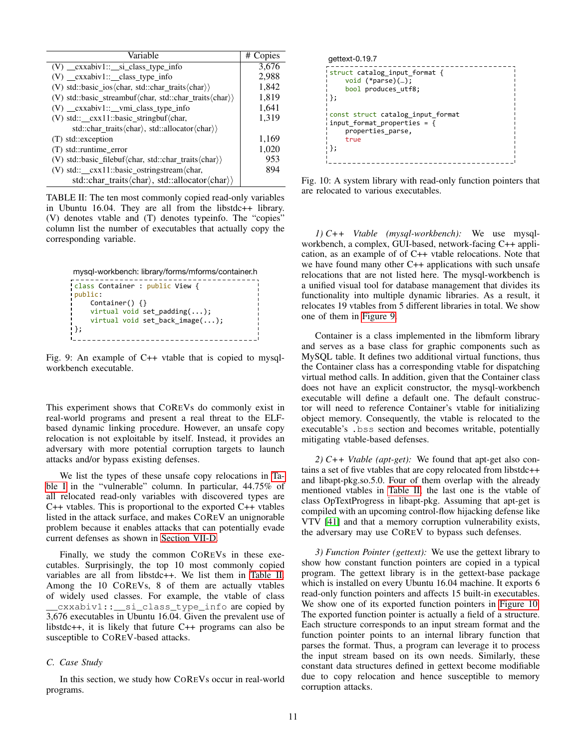<span id="page-10-0"></span>

| Variable                                                                         | # Copies |
|----------------------------------------------------------------------------------|----------|
| (V) _cxxabiv1::_si_class_type_info                                               | 3,676    |
| (V) _cxxabiv1::_class_type_info                                                  | 2,988    |
| (V) std::basic_ios $\langle char, std::char\_traits \langle char \rangle$        | 1,842    |
| (V) std::basic streambuf $\langle char, std::char$ traits $\langle char \rangle$ | 1,819    |
| (V) _cxxabiv1::_vmi_class_type_info                                              | 1,641    |
| (V) std::_cxx11::basic_stringbuf/char,                                           | 1,319    |
| std::char_traits\/char\, std::allocator\/char\)\                                 |          |
| (T) std::exception                                                               | 1,169    |
| $(T)$ std::runtime error                                                         | 1,020    |
| (V) std::basic_filebuf(char, std::char_traits(char))                             | 953      |
| (V) std:: $\_\text{exx11::basic\_ostringstream\nchar,}$                          | 894      |
| std::char_traits $\langle char \rangle$ , std::allocator $\langle char \rangle$  |          |

TABLE II: The ten most commonly copied read-only variables in Ubuntu 16.04. They are all from the libstdc++ library. (V) denotes vtable and (T) denotes typeinfo. The "copies" column list the number of executables that actually copy the corresponding variable.

```
mysql-workbench: library/forms/mforms/container.h
class Container : public View {
public:
   Container() {}
   virtual void set_padding(...);virtual void set_back_image(...);
};
```
Fig. 9: An example of C++ vtable that is copied to mysqlworkbench executable.

This experiment shows that COREVs do commonly exist in real-world programs and present a real threat to the ELFbased dynamic linking procedure. However, an unsafe copy relocation is not exploitable by itself. Instead, it provides an adversary with more potential corruption targets to launch attacks and/or bypass existing defenses.

We list the types of these unsafe copy relocations in [Ta](#page-9-2)[ble I](#page-9-2) in the "vulnerable" column. In particular, 44.75% of all relocated read-only variables with discovered types are C++ vtables. This is proportional to the exported C++ vtables listed in the attack surface, and makes COREV an unignorable problem because it enables attacks that can potentially evade current defenses as shown in [Section VII-D.](#page-11-1)

Finally, we study the common COREVs in these executables. Surprisingly, the top 10 most commonly copied variables are all from libstdc++. We list them in [Table II.](#page-10-0) Among the 10 COREVs, 8 of them are actually vtables of widely used classes. For example, the vtable of class cxxabiv1:: \_\_ si\_class\_type\_info are copied by 3,676 executables in Ubuntu 16.04. Given the prevalent use of libstdc++, it is likely that future C++ programs can also be susceptible to COREV-based attacks.

# *C. Case Study*

In this section, we study how COREVs occur in real-world programs.

```
struct catalog_input_format {
     				void	(*parse)(…);
     bool produces_utf8;
};
const	struct	catalog_input_format
input_{format\_properties} = \{				properties_parse,
     				true
};
gettext-0.19.7
```
Fig. 10: A system library with read-only function pointers that are relocated to various executables.

*1) C++ Vtable (mysql-workbench):* We use mysqlworkbench, a complex, GUI-based, network-facing C++ application, as an example of of C++ vtable relocations. Note that we have found many other C++ applications with such unsafe relocations that are not listed here. The mysql-workbench is a unified visual tool for database management that divides its functionality into multiple dynamic libraries. As a result, it relocates 19 vtables from 5 different libraries in total. We show one of them in [Figure 9.](#page-10-1)

Container is a class implemented in the libmform library and serves as a base class for graphic components such as MySQL table. It defines two additional virtual functions, thus the Container class has a corresponding vtable for dispatching virtual method calls. In addition, given that the Container class does not have an explicit constructor, the mysql-workbench executable will define a default one. The default constructor will need to reference Container's vtable for initializing object memory. Consequently, the vtable is relocated to the executable's .bss section and becomes writable, potentially mitigating vtable-based defenses.

*2) C++ Vtable (apt-get):* We found that apt-get also contains a set of five vtables that are copy relocated from libstdc++ and libapt-pkg.so.5.0. Four of them overlap with the already mentioned vtables in [Table II,](#page-10-0) the last one is the vtable of class OpTextProgress in libapt-pkg. Assuming that apt-get is compiled with an upcoming control-flow hijacking defense like VTV [\[41\]](#page-13-6) and that a memory corruption vulnerability exists, the adversary may use COREV to bypass such defenses.

*3) Function Pointer (gettext):* We use the gettext library to show how constant function pointers are copied in a typical program. The gettext library is in the gettext-base package which is installed on every Ubuntu 16.04 machine. It exports 6 read-only function pointers and affects 15 built-in executables. We show one of its exported function pointers in [Figure 10.](#page-10-2) The exported function pointer is actually a field of a structure. Each structure corresponds to an input stream format and the function pointer points to an internal library function that parses the format. Thus, a program can leverage it to process the input stream based on its own needs. Similarly, these constant data structures defined in gettext become modifiable due to copy relocation and hence susceptible to memory corruption attacks.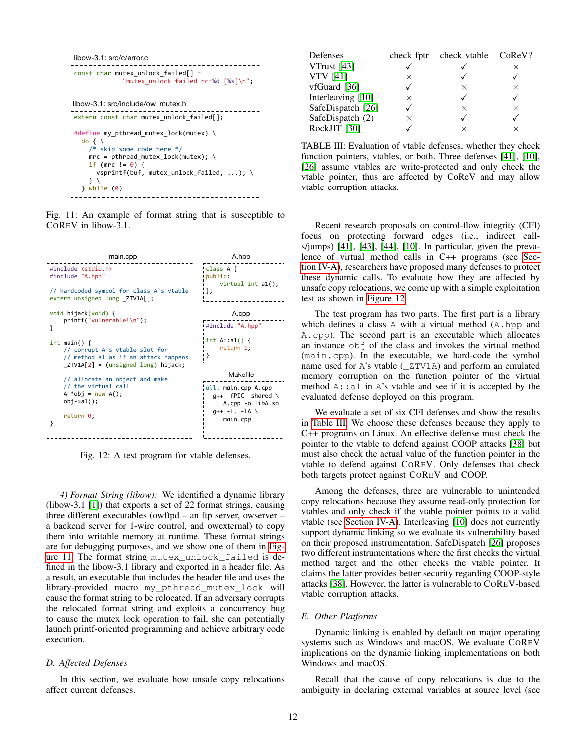<span id="page-11-2"></span>

Fig. 11: An example of format string that is susceptible to COREV in libow-3.1.

<span id="page-11-3"></span>

Fig. 12: A test program for vtable defenses.

*4) Format String (libow):* We identified a dynamic library (libow-3.1 [\[1\]](#page-12-9)) that exports a set of 22 format strings, causing three different executables (owftpd – an ftp server, owserver – a backend server for 1-wire control, and owexternal) to copy them into writable memory at runtime. These format strings are for debugging purposes, and we show one of them in [Fig](#page-11-2)[ure 11.](#page-11-2) The format string mutex\_unlock\_failed is defined in the libow-3.1 library and exported in a header file. As a result, an executable that includes the header file and uses the library-provided macro my\_pthread\_mutex\_lock will cause the format string to be relocated. If an adversary corrupts the relocated format string and exploits a concurrency bug to cause the mutex lock operation to fail, she can potentially launch printf-oriented programming and achieve arbitrary code execution.

## <span id="page-11-1"></span>*D. Affected Defenses*

In this section, we evaluate how unsafe copy relocations affect current defenses.

<span id="page-11-4"></span>

| Defenses          | check fptr | check vtable | CoReV?   |
|-------------------|------------|--------------|----------|
| VTrust $[43]$     |            |              |          |
| <b>VTV</b> [41]   | ×          |              |          |
| $v$ fGuard [36]   |            | ×            | $\times$ |
| Interleaving [10] |            |              |          |
| SafeDispatch [26] |            | ×            | ×        |
| SafeDispatch (2)  |            |              |          |
| RockJIT [30]      |            |              |          |

TABLE III: Evaluation of vtable defenses, whether they check function pointers, vtables, or both. Three defenses [\[41\]](#page-13-6), [\[10\]](#page-12-2), [\[26\]](#page-13-12) assume vtables are write-protected and only check the vtable pointer, thus are affected by CoReV and may allow vtable corruption attacks.

Recent research proposals on control-flow integrity (CFI) focus on protecting forward edges (i.e., indirect calls/jumps)  $[41]$ ,  $[43]$ ,  $[44]$ ,  $[10]$ . In particular, given the prevalence of virtual method calls in C++ programs (see [Sec](#page-4-0)[tion IV-A\)](#page-4-0), researchers have proposed many defenses to protect these dynamic calls. To evaluate how they are affected by unsafe copy relocations, we come up with a simple exploitation test as shown in [Figure 12.](#page-11-3)

The test program has two parts. The first part is a library which defines a class A with a virtual method (A.hpp and A.cpp). The second part is an executable which allocates an instance  $\circ$ b i of the class and invokes the virtual method (main.cpp). In the executable, we hard-code the symbol name used for A's vtable ( $ZTV1A$ ) and perform an emulated memory corruption on the function pointer of the virtual method  $A$ :  $a1$  in  $A$ 's vtable and see if it is accepted by the evaluated defense deployed on this program.

We evaluate a set of six CFI defenses and show the results in [Table III.](#page-11-4) We choose these defenses because they apply to C++ programs on Linux. An effective defense must check the pointer to the vtable to defend against COOP attacks [\[38\]](#page-13-23) but must also check the actual value of the function pointer in the vtable to defend against COREV. Only defenses that check both targets protect against COREV and COOP.

Among the defenses, three are vulnerable to unintended copy relocations because they assume read-only protection for vtables and only check if the vtable pointer points to a valid vtable (see [Section IV-A\)](#page-4-0). Interleaving [\[10\]](#page-12-2) does not currently support dynamic linking so we evaluate its vulnerability based on their proposed instrumentation. SafeDispatch [\[26\]](#page-13-12) proposes two different instrumentations where the first checks the virtual method target and the other checks the vtable pointer. It claims the latter provides better security regarding COOP-style attacks [\[38\]](#page-13-23). However, the latter is vulnerable to COREV-based vtable corruption attacks.

## <span id="page-11-0"></span>*E. Other Platforms*

Dynamic linking is enabled by default on major operating systems such as Windows and macOS. We evaluate COREV implications on the dynamic linking implementations on both Windows and macOS.

Recall that the cause of copy relocations is due to the ambiguity in declaring external variables at source level (see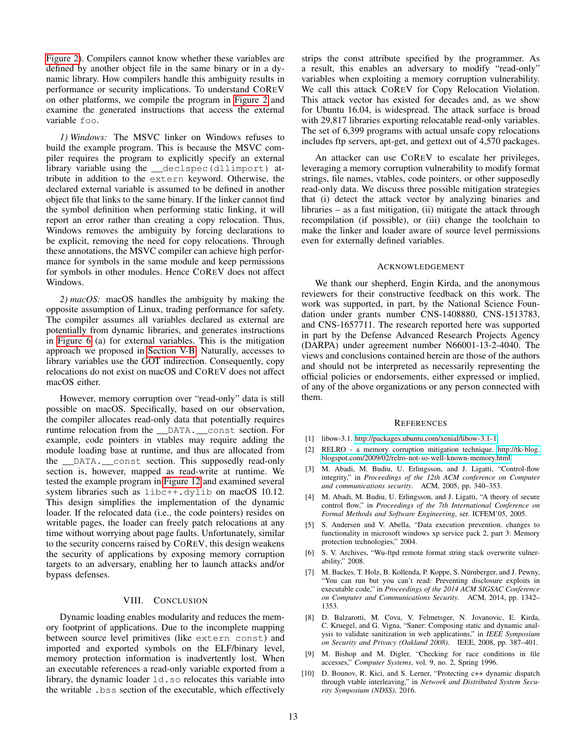[Figure 2\)](#page-3-1). Compilers cannot know whether these variables are defined by another object file in the same binary or in a dynamic library. How compilers handle this ambiguity results in performance or security implications. To understand COREV on other platforms, we compile the program in [Figure 2](#page-3-1) and examine the generated instructions that access the external variable foo.

*1) Windows:* The MSVC linker on Windows refuses to build the example program. This is because the MSVC compiler requires the program to explicitly specify an external library variable using the \_\_declspec(dllimport) attribute in addition to the extern keyword. Otherwise, the declared external variable is assumed to be defined in another object file that links to the same binary. If the linker cannot find the symbol definition when performing static linking, it will report an error rather than creating a copy relocation. Thus, Windows removes the ambiguity by forcing declarations to be explicit, removing the need for copy relocations. Through these annotations, the MSVC compiler can achieve high performance for symbols in the same module and keep permissions for symbols in other modules. Hence COREV does not affect Windows.

*2) macOS:* macOS handles the ambiguity by making the opposite assumption of Linux, trading performance for safety. The compiler assumes all variables declared as external are potentially from dynamic libraries, and generates instructions in [Figure 6](#page-7-0) (a) for external variables. This is the mitigation approach we proposed in [Section V-B.](#page-6-0) Naturally, accesses to library variables use the GOT indirection. Consequently, copy relocations do not exist on macOS and COREV does not affect macOS either.

However, memory corruption over "read-only" data is still possible on macOS. Specifically, based on our observation, the compiler allocates read-only data that potentially requires runtime relocation from the \_\_DATA.\_\_const section. For example, code pointers in vtables may require adding the module loading base at runtime, and thus are allocated from the DATA. const section. This supposedly read-only section is, however, mapped as read-write at runtime. We tested the example program in [Figure 12](#page-11-3) and examined several system libraries such as libc++.dylib on macOS 10.12. This design simplifies the implementation of the dynamic loader. If the relocated data (i.e., the code pointers) resides on writable pages, the loader can freely patch relocations at any time without worrying about page faults. Unfortunately, similar to the security concerns raised by COREV, this design weakens the security of applications by exposing memory corruption targets to an adversary, enabling her to launch attacks and/or bypass defenses.

### VIII. CONCLUSION

Dynamic loading enables modularity and reduces the memory footprint of applications. Due to the incomplete mapping between source level primitives (like extern const) and imported and exported symbols on the ELF/binary level, memory protection information is inadvertently lost. When an executable references a read-only variable exported from a library, the dynamic loader ld.so relocates this variable into the writable .bss section of the executable, which effectively strips the const attribute specified by the programmer. As a result, this enables an adversary to modify "read-only" variables when exploiting a memory corruption vulnerability. We call this attack COREV for Copy Relocation Violation. This attack vector has existed for decades and, as we show for Ubuntu 16.04, is widespread. The attack surface is broad with 29,817 libraries exporting relocatable read-only variables. The set of 6,399 programs with actual unsafe copy relocations includes ftp servers, apt-get, and gettext out of 4,570 packages.

An attacker can use COREV to escalate her privileges, leveraging a memory corruption vulnerability to modify format strings, file names, vtables, code pointers, or other supposedly read-only data. We discuss three possible mitigation strategies that (i) detect the attack vector by analyzing binaries and libraries – as a fast mitigation, (ii) mitigate the attack through recompilation (if possible), or (iii) change the toolchain to make the linker and loader aware of source level permissions even for externally defined variables.

#### ACKNOWLEDGEMENT

We thank our shepherd, Engin Kirda, and the anonymous reviewers for their constructive feedback on this work. The work was supported, in part, by the National Science Foundation under grants number CNS-1408880, CNS-1513783, and CNS-1657711. The research reported here was supported in part by the Defense Advanced Research Projects Agency (DARPA) under agreement number N66001-13-2-4040. The views and conclusions contained herein are those of the authors and should not be interpreted as necessarily representing the official policies or endorsements, either expressed or implied, of any of the above organizations or any person connected with them.

#### **REFERENCES**

- <span id="page-12-9"></span>[1] libow-3.1. [http://packages.ubuntu.com/xenial/libow-3.1-1.](http://packages.ubuntu.com/xenial/libow-3.1-1)
- <span id="page-12-8"></span>[2] RELRO - a memory corruption mitigation technique. [http://tk-blog.](http://tk-blog.blogspot.com/2009/02/relro-not-so-well-known-memory.html) [blogspot.com/2009/02/relro-not-so-well-known-memory.html.](http://tk-blog.blogspot.com/2009/02/relro-not-so-well-known-memory.html)
- <span id="page-12-1"></span>[3] M. Abadi, M. Budiu, U. Erlingsson, and J. Ligatti, "Control-flow integrity," in *Proceedings of the 12th ACM conference on Computer and communications security*. ACM, 2005, pp. 340–353.
- <span id="page-12-4"></span>[4] M. Abadi, M. Budiu, U. Erlingsson, and J. Ligatti, "A theory of secure control flow," in *Proceedings of the 7th International Conference on Formal Methods and Software Engineering*, ser. ICFEM'05, 2005.
- <span id="page-12-0"></span>[5] S. Andersen and V. Abella, "Data execution prevention. changes to functionality in microsoft windows xp service pack 2, part 3: Memory protection technologies," 2004.
- <span id="page-12-5"></span>[6] S. V. Archives, "Wu-ftpd remote format string stack overwrite vulnerability," 2008.
- <span id="page-12-3"></span>[7] M. Backes, T. Holz, B. Kollenda, P. Koppe, S. Nürnberger, and J. Pewny, "You can run but you can't read: Preventing disclosure exploits in executable code," in *Proceedings of the 2014 ACM SIGSAC Conference on Computer and Communications Security*. ACM, 2014, pp. 1342– 1353.
- <span id="page-12-7"></span>[8] D. Balzarotti, M. Cova, V. Felmetsger, N. Jovanovic, E. Kirda, C. Kruegel, and G. Vigna, "Saner: Composing static and dynamic analysis to validate sanitization in web applications," in *IEEE Symposium on Security and Privacy (Oakland 2008)*. IEEE, 2008, pp. 387–401.
- <span id="page-12-6"></span>[9] M. Bishop and M. Digler, "Checking for race conditions in file accesses," *Computer Systems*, vol. 9, no. 2, Spring 1996.
- <span id="page-12-2"></span>[10] D. Bounov, R. Kici, and S. Lerner, "Protecting c++ dynamic dispatch through vtable interleaving," in *Network and Distributed System Security Symposium (NDSS)*, 2016.